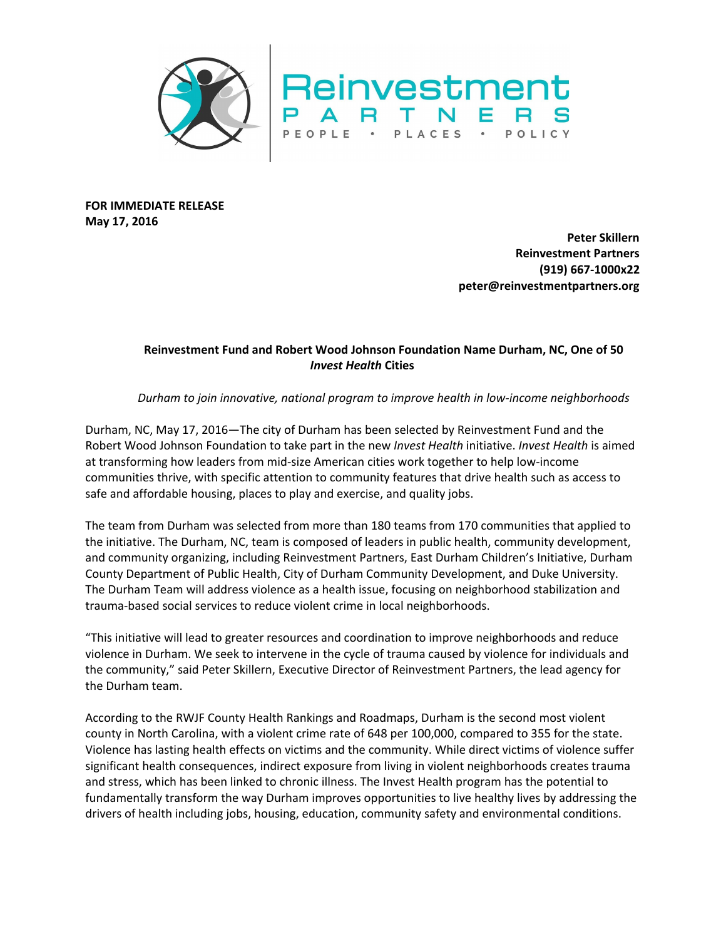

**FOR IMMEDIATE RELEASE May 17, 2016**

> **Peter Skillern Reinvestment Partners (919) 667-1000x22 peter@reinvestmentpartners.org**

## **Reinvestment Fund and Robert Wood Johnson Foundation Name Durham, NC, One of 50** *Invest Health* **Cities**

*Durham to join innovative, national program to improve health in low-income neighborhoods*

Durham, NC, May 17, 2016—The city of Durham has been selected by Reinvestment Fund and the Robert Wood Johnson Foundation to take part in the new *Invest Health* initiative. *Invest Health* is aimed at transforming how leaders from mid-size American cities work together to help low-income communities thrive, with specific attention to community features that drive health such as access to safe and affordable housing, places to play and exercise, and quality jobs.

The team from Durham was selected from more than 180 teams from 170 communities that applied to the initiative. The Durham, NC, team is composed of leaders in public health, community development, and community organizing, including Reinvestment Partners, East Durham Children's Initiative, Durham County Department of Public Health, City of Durham Community Development, and Duke University. The Durham Team will address violence as a health issue, focusing on neighborhood stabilization and trauma-based social services to reduce violent crime in local neighborhoods.

"This initiative will lead to greater resources and coordination to improve neighborhoods and reduce violence in Durham. We seek to intervene in the cycle of trauma caused by violence for individuals and the community," said Peter Skillern, Executive Director of Reinvestment Partners, the lead agency for the Durham team.

According to the RWJF County Health Rankings and Roadmaps, Durham is the second most violent county in North Carolina, with a violent crime rate of 648 per 100,000, compared to 355 for the state. Violence has lasting health effects on victims and the community. While direct victims of violence suffer significant health consequences, indirect exposure from living in violent neighborhoods creates trauma and stress, which has been linked to chronic illness. The Invest Health program has the potential to fundamentally transform the way Durham improves opportunities to live healthy lives by addressing the drivers of health including jobs, housing, education, community safety and environmental conditions.